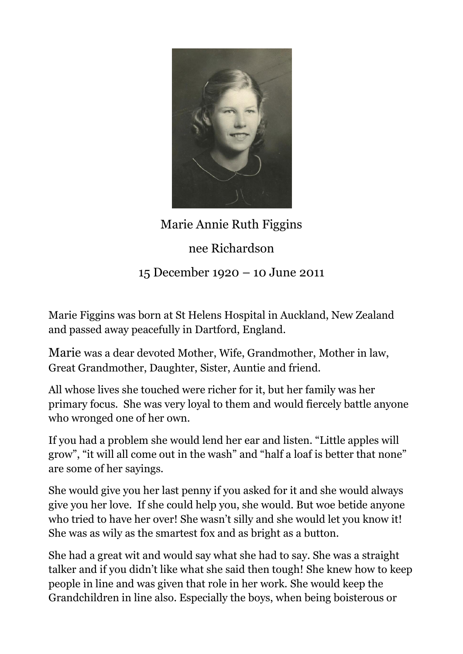

## Marie Annie Ruth Figgins

nee Richardson

15 December 1920 – 10 June 2011

Marie Figgins was born at St Helens Hospital in Auckland, New Zealand and passed away peacefully in Dartford, England.

Marie was a dear devoted Mother, Wife, Grandmother, Mother in law, Great Grandmother, Daughter, Sister, Auntie and friend.

All whose lives she touched were richer for it, but her family was her primary focus. She was very loyal to them and would fiercely battle anyone who wronged one of her own.

If you had a problem she would lend her ear and listen. "Little apples will grow", "it will all come out in the wash" and "half a loaf is better that none" are some of her sayings.

She would give you her last penny if you asked for it and she would always give you her love. If she could help you, she would. But woe betide anyone who tried to have her over! She wasn't silly and she would let you know it! She was as wily as the smartest fox and as bright as a button.

She had a great wit and would say what she had to say. She was a straight talker and if you didn't like what she said then tough! She knew how to keep people in line and was given that role in her work. She would keep the Grandchildren in line also. Especially the boys, when being boisterous or